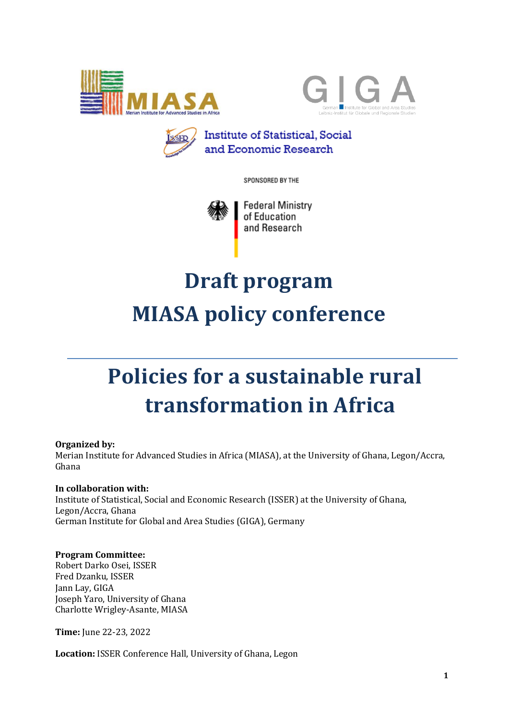





SPONSORED BY THE



# **Draft program MIASA policy conference**

# **Policies for a sustainable rural transformation in Africa**

#### **Organized by:**

Merian Institute for Advanced Studies in Africa (MIASA), at the University of Ghana, Legon/Accra, Ghana

### In collaboration with:

Institute of Statistical, Social and Economic Research (ISSER) at the University of Ghana, Legon/Accra, Ghana German Institute for Global and Area Studies (GIGA), Germany

#### **Program Committee:**

Robert Darko Osei, ISSER Fred Dzanku, ISSER Jann Lay, GIGA Joseph Yaro, University of Ghana Charlotte Wrigley-Asante, MIASA

**Time:** June 22-23, 2022

Location: ISSER Conference Hall, University of Ghana, Legon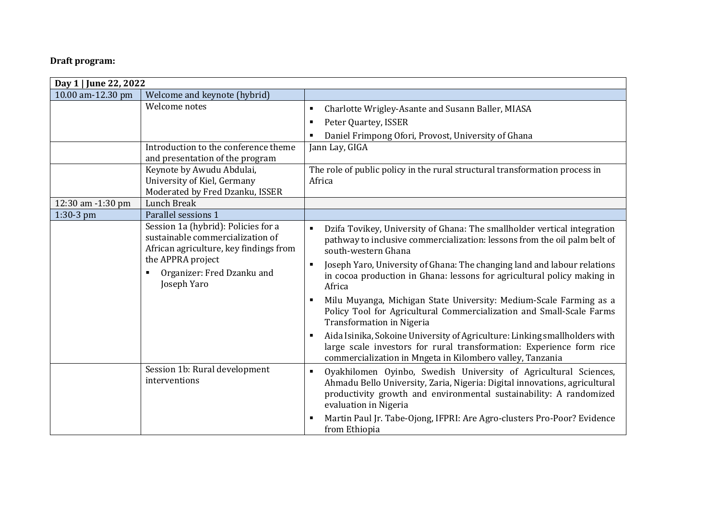## **Draft program:**

| Day 1   June 22, 2022 |                                                                                                                                                                                     |                                                                                                                                                                                                                                                                                                                                                                                                                                                                                                                                                                                                                                                                                                                                                                      |
|-----------------------|-------------------------------------------------------------------------------------------------------------------------------------------------------------------------------------|----------------------------------------------------------------------------------------------------------------------------------------------------------------------------------------------------------------------------------------------------------------------------------------------------------------------------------------------------------------------------------------------------------------------------------------------------------------------------------------------------------------------------------------------------------------------------------------------------------------------------------------------------------------------------------------------------------------------------------------------------------------------|
| 10.00 am-12.30 pm     | Welcome and keynote (hybrid)                                                                                                                                                        |                                                                                                                                                                                                                                                                                                                                                                                                                                                                                                                                                                                                                                                                                                                                                                      |
|                       | Welcome notes                                                                                                                                                                       | Charlotte Wrigley-Asante and Susann Baller, MIASA<br>٠<br>Peter Quartey, ISSER<br>$\blacksquare$<br>Daniel Frimpong Ofori, Provost, University of Ghana                                                                                                                                                                                                                                                                                                                                                                                                                                                                                                                                                                                                              |
|                       | Introduction to the conference theme<br>and presentation of the program                                                                                                             | Jann Lay, GIGA                                                                                                                                                                                                                                                                                                                                                                                                                                                                                                                                                                                                                                                                                                                                                       |
|                       | Keynote by Awudu Abdulai,<br>University of Kiel, Germany<br>Moderated by Fred Dzanku, ISSER                                                                                         | The role of public policy in the rural structural transformation process in<br>Africa                                                                                                                                                                                                                                                                                                                                                                                                                                                                                                                                                                                                                                                                                |
| 12:30 am -1:30 pm     | Lunch Break                                                                                                                                                                         |                                                                                                                                                                                                                                                                                                                                                                                                                                                                                                                                                                                                                                                                                                                                                                      |
| 1:30-3 pm             | Parallel sessions 1                                                                                                                                                                 |                                                                                                                                                                                                                                                                                                                                                                                                                                                                                                                                                                                                                                                                                                                                                                      |
|                       | Session 1a (hybrid): Policies for a<br>sustainable commercialization of<br>African agriculture, key findings from<br>the APPRA project<br>Organizer: Fred Dzanku and<br>Joseph Yaro | Dzifa Tovikey, University of Ghana: The smallholder vertical integration<br>$\blacksquare$<br>pathway to inclusive commercialization: lessons from the oil palm belt of<br>south-western Ghana<br>Joseph Yaro, University of Ghana: The changing land and labour relations<br>in cocoa production in Ghana: lessons for agricultural policy making in<br>Africa<br>Milu Muyanga, Michigan State University: Medium-Scale Farming as a<br>Policy Tool for Agricultural Commercialization and Small-Scale Farms<br><b>Transformation in Nigeria</b><br>Aida Isinika, Sokoine University of Agriculture: Linking smallholders with<br>large scale investors for rural transformation: Experience form rice<br>commercialization in Mngeta in Kilombero valley, Tanzania |
|                       | Session 1b: Rural development<br>interventions                                                                                                                                      | Oyakhilomen Oyinbo, Swedish University of Agricultural Sciences,<br>$\blacksquare$<br>Ahmadu Bello University, Zaria, Nigeria: Digital innovations, agricultural<br>productivity growth and environmental sustainability: A randomized<br>evaluation in Nigeria<br>Martin Paul Jr. Tabe-Ojong, IFPRI: Are Agro-clusters Pro-Poor? Evidence<br>from Ethiopia                                                                                                                                                                                                                                                                                                                                                                                                          |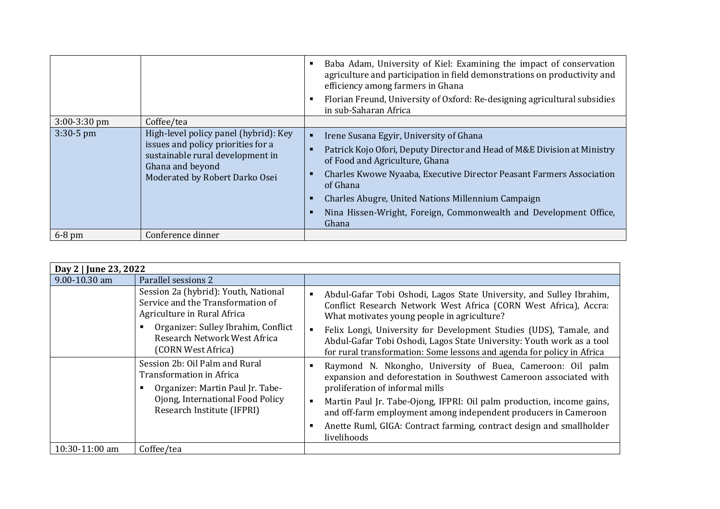|                |                                                                                                                                                                       | Baba Adam, University of Kiel: Examining the impact of conservation<br>agriculture and participation in field demonstrations on productivity and<br>efficiency among farmers in Ghana<br>Florian Freund, University of Oxford: Re-designing agricultural subsidies<br>in sub-Saharan Africa                                                                                   |
|----------------|-----------------------------------------------------------------------------------------------------------------------------------------------------------------------|-------------------------------------------------------------------------------------------------------------------------------------------------------------------------------------------------------------------------------------------------------------------------------------------------------------------------------------------------------------------------------|
| $3:00-3:30$ pm | Coffee/tea                                                                                                                                                            |                                                                                                                                                                                                                                                                                                                                                                               |
| $3:30-5$ pm    | High-level policy panel (hybrid): Key<br>issues and policy priorities for a<br>sustainable rural development in<br>Ghana and beyond<br>Moderated by Robert Darko Osei | Irene Susana Egyir, University of Ghana<br>Patrick Kojo Ofori, Deputy Director and Head of M&E Division at Ministry<br>of Food and Agriculture, Ghana<br>Charles Kwowe Nyaaba, Executive Director Peasant Farmers Association<br>of Ghana<br>Charles Abugre, United Nations Millennium Campaign<br>Nina Hissen-Wright, Foreign, Commonwealth and Development Office,<br>Ghana |
| $6-8$ pm       | Conference dinner                                                                                                                                                     |                                                                                                                                                                                                                                                                                                                                                                               |

| Day 2   June 23, 2022 |                                                                                                                                                                                                       |                                                                                                                                                                                                                                                                                                                                                                                                                                         |  |
|-----------------------|-------------------------------------------------------------------------------------------------------------------------------------------------------------------------------------------------------|-----------------------------------------------------------------------------------------------------------------------------------------------------------------------------------------------------------------------------------------------------------------------------------------------------------------------------------------------------------------------------------------------------------------------------------------|--|
| 9.00-10.30 am         | Parallel sessions 2                                                                                                                                                                                   |                                                                                                                                                                                                                                                                                                                                                                                                                                         |  |
|                       | Session 2a (hybrid): Youth, National<br>Service and the Transformation of<br>Agriculture in Rural Africa<br>Organizer: Sulley Ibrahim, Conflict<br>Research Network West Africa<br>(CORN West Africa) | Abdul-Gafar Tobi Oshodi, Lagos State University, and Sulley Ibrahim,<br>п<br>Conflict Research Network West Africa (CORN West Africa), Accra:<br>What motivates young people in agriculture?<br>Felix Longi, University for Development Studies (UDS), Tamale, and<br>$\blacksquare$<br>Abdul-Gafar Tobi Oshodi, Lagos State University: Youth work as a tool<br>for rural transformation: Some lessons and agenda for policy in Africa |  |
|                       | Session 2b: Oil Palm and Rural<br>Transformation in Africa<br>Organizer: Martin Paul Jr. Tabe-<br>Ojong, International Food Policy<br>Research Institute (IFPRI)                                      | Raymond N. Nkongho, University of Buea, Cameroon: Oil palm<br>expansion and deforestation in Southwest Cameroon associated with<br>proliferation of informal mills<br>Martin Paul Jr. Tabe-Ojong, IFPRI: Oil palm production, income gains,<br>$\blacksquare$<br>and off-farm employment among independent producers in Cameroon<br>Anette Ruml, GIGA: Contract farming, contract design and smallholder<br>livelihoods                 |  |
| 10:30-11:00 am        | Coffee/tea                                                                                                                                                                                            |                                                                                                                                                                                                                                                                                                                                                                                                                                         |  |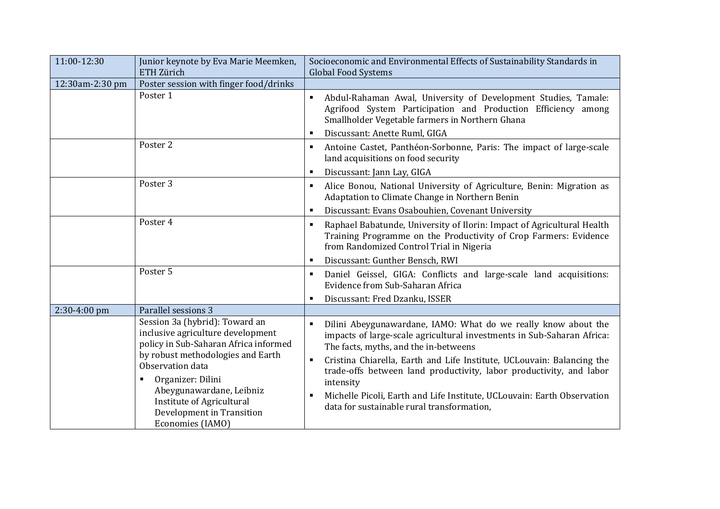| 11:00-12:30     | Junior keynote by Eva Marie Meemken,<br>ETH Zürich                                                                                                                                                                                                                                                        | Socioeconomic and Environmental Effects of Sustainability Standards in<br><b>Global Food Systems</b>                                                                                                                                                                                                                                                                                                                                                                                                              |
|-----------------|-----------------------------------------------------------------------------------------------------------------------------------------------------------------------------------------------------------------------------------------------------------------------------------------------------------|-------------------------------------------------------------------------------------------------------------------------------------------------------------------------------------------------------------------------------------------------------------------------------------------------------------------------------------------------------------------------------------------------------------------------------------------------------------------------------------------------------------------|
| 12:30am-2:30 pm | Poster session with finger food/drinks                                                                                                                                                                                                                                                                    |                                                                                                                                                                                                                                                                                                                                                                                                                                                                                                                   |
|                 | Poster 1                                                                                                                                                                                                                                                                                                  | Abdul-Rahaman Awal, University of Development Studies, Tamale:<br>$\blacksquare$<br>Agrifood System Participation and Production Efficiency among<br>Smallholder Vegetable farmers in Northern Ghana<br>Discussant: Anette Ruml, GIGA<br>٠                                                                                                                                                                                                                                                                        |
|                 | Poster 2                                                                                                                                                                                                                                                                                                  | Antoine Castet, Panthéon-Sorbonne, Paris: The impact of large-scale<br>٠<br>land acquisitions on food security<br>Discussant: Jann Lay, GIGA<br>٠                                                                                                                                                                                                                                                                                                                                                                 |
|                 | Poster 3                                                                                                                                                                                                                                                                                                  | Alice Bonou, National University of Agriculture, Benin: Migration as<br>٠<br>Adaptation to Climate Change in Northern Benin<br>Discussant: Evans Osabouhien, Covenant University<br>٠                                                                                                                                                                                                                                                                                                                             |
|                 | Poster 4                                                                                                                                                                                                                                                                                                  | Raphael Babatunde, University of Ilorin: Impact of Agricultural Health<br>٠<br>Training Programme on the Productivity of Crop Farmers: Evidence<br>from Randomized Control Trial in Nigeria<br>Discussant: Gunther Bensch, RWI<br>п                                                                                                                                                                                                                                                                               |
|                 | Poster 5                                                                                                                                                                                                                                                                                                  | Daniel Geissel, GIGA: Conflicts and large-scale land acquisitions:<br>٠<br>Evidence from Sub-Saharan Africa<br>Discussant: Fred Dzanku, ISSER<br>٠                                                                                                                                                                                                                                                                                                                                                                |
| 2:30-4:00 pm    | Parallel sessions 3                                                                                                                                                                                                                                                                                       |                                                                                                                                                                                                                                                                                                                                                                                                                                                                                                                   |
|                 | Session 3a (hybrid): Toward an<br>inclusive agriculture development<br>policy in Sub-Saharan Africa informed<br>by robust methodologies and Earth<br>Observation data<br>Organizer: Dilini<br>٠<br>Abeygunawardane, Leibniz<br>Institute of Agricultural<br>Development in Transition<br>Economies (IAMO) | Dilini Abeygunawardane, IAMO: What do we really know about the<br>$\blacksquare$<br>impacts of large-scale agricultural investments in Sub-Saharan Africa:<br>The facts, myths, and the in-betweens<br>Cristina Chiarella, Earth and Life Institute, UCLouvain: Balancing the<br>$\blacksquare$<br>trade-offs between land productivity, labor productivity, and labor<br>intensity<br>Michelle Picoli, Earth and Life Institute, UCLouvain: Earth Observation<br>٠<br>data for sustainable rural transformation, |